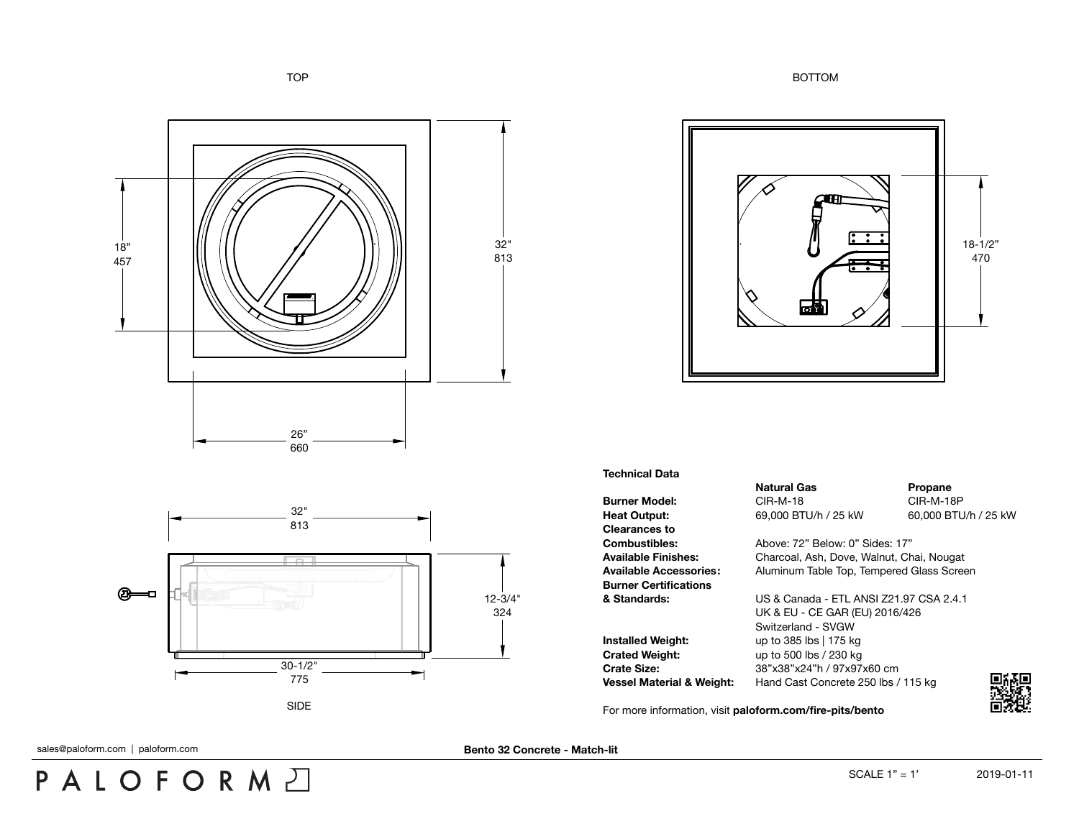TOP BOTTOM



## **Technical Data**

**Burner Model:** CIR-M-18 CIR-M-18 CIR-M-18P **Heat Output:** 69,000 BTU/h / 25 kW 60,000 BTU/h / 25 kW **Clearances to Burner Certifications**

**Installed Weight:** up to 385 lbs | 175 kg **Crated Weight:** up to 500 lbs / 230 kg

**Natural Gas Propane** 

**Combustibles:** Above: 72" Below: 0" Sides: 17" **Available Finishes:** Charcoal, Ash, Dove, Walnut, Chai, Nougat **Available Accessories:** Aluminum Table Top, Tempered Glass Screen

**& Standards:** US & Canada - ETL ANSI Z21.97 CSA 2.4.1 UK & EU - CE GAR (EU) 2016/426 Switzerland - SVGW **Crate Size:** 38"x38"x24"h / 97x97x60 cm **Vessel Material & Weight:** Hand Cast Concrete 250 lbs / 115 kg

For more information, visit **[paloform.com/fire-pits/bento](http://paloform.com/fire-pits/bento)**







SIDE

PALOFORMA

sales@paloform.com | paloform.com

**Bento 32 Concrete - Match-lit**